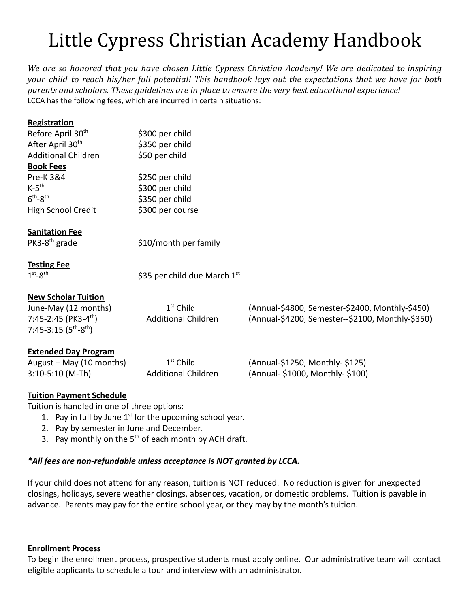# Little Cypress Christian Academy Handbook

*We are so honored that you have chosen Little Cypress Christian Academy! We are dedicated to inspiring* your child to reach his/her full potential! This handbook lays out the expectations that we have for both *parents and scholars. These guidelines are in place to ensure the very best educational experience!* LCCA has the following fees, which are incurred in certain situations:

| Registration                     |                                |                                                  |
|----------------------------------|--------------------------------|--------------------------------------------------|
| Before April 30 <sup>th</sup>    | \$300 per child                |                                                  |
| After April 30 <sup>th</sup>     | \$350 per child                |                                                  |
| <b>Additional Children</b>       | \$50 per child                 |                                                  |
| <b>Book Fees</b>                 |                                |                                                  |
| <b>Pre-K3&amp;4</b>              | \$250 per child                |                                                  |
| $K-5$ <sup>th</sup>              | \$300 per child                |                                                  |
| $6th - 8th$                      | \$350 per child                |                                                  |
| High School Credit               | \$300 per course               |                                                  |
| <b>Sanitation Fee</b>            |                                |                                                  |
| $PK3-8th$ grade                  | \$10/month per family          |                                                  |
| <b>Testing Fee</b>               |                                |                                                  |
| $1st - 8th$                      | \$35 per child due March $1st$ |                                                  |
| <b>New Scholar Tuition</b>       |                                |                                                  |
| June-May (12 months)             | $1st$ Child                    | (Annual-\$4800, Semester-\$2400, Monthly-\$450)  |
| 7:45-2:45 (PK3-4 <sup>th</sup> ) | <b>Additional Children</b>     | (Annual-\$4200, Semester--\$2100, Monthly-\$350) |
| 7:45-3:15 $(5th-8th)$            |                                |                                                  |
| <b>Extended Day Program</b>      |                                |                                                  |
| August - May (10 months)         | $1st$ Child                    | (Annual-\$1250, Monthly-\$125)                   |
| $3:10-5:10$ (M-Th)               | <b>Additional Children</b>     | (Annual- \$1000, Monthly- \$100)                 |

# **Tuition Payment Schedule**

Tuition is handled in one of three options:

- 1. Pay in full by June  $1<sup>st</sup>$  for the upcoming school year.
- 2. Pay by semester in June and December.
- 3. Pay monthly on the  $5<sup>th</sup>$  of each month by ACH draft.

# *\*All fees are non-refundable unless acceptance is NOT granted by LCCA.*

If your child does not attend for any reason, tuition is NOT reduced. No reduction is given for unexpected closings, holidays, severe weather closings, absences, vacation, or domestic problems. Tuition is payable in advance. Parents may pay for the entire school year, or they may by the month's tuition.

# **Enrollment Process**

To begin the enrollment process, prospective students must apply online. Our administrative team will contact eligible applicants to schedule a tour and interview with an administrator.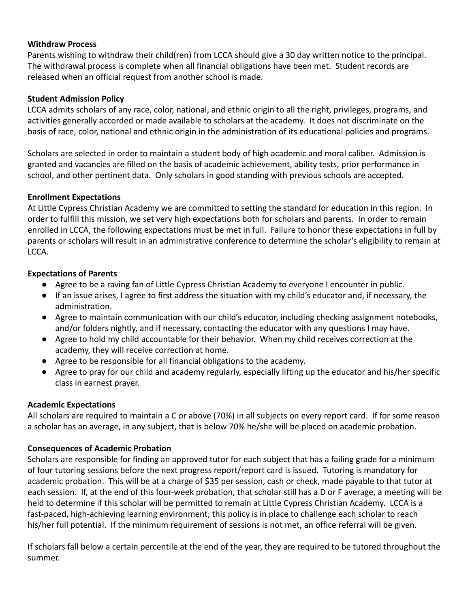# **Withdraw Process**

Parents wishing to withdraw their child(ren) from LCCA should give a 30 day written notice to the principal. The withdrawal process is complete when all financial obligations have been met. Student records are released when an official request from another school is made.

# **Student Admission Policy**

LCCA admits scholars of any race, color, national, and ethnic origin to all the right, privileges, programs, and activities generally accorded or made available to scholars at the academy. It does not discriminate on the basis of race, color, national and ethnic origin in the administration of its educational policies and programs.

Scholars are selected in order to maintain a student body of high academic and moral caliber. Admission is granted and vacancies are filled on the basis of academic achievement, ability tests, prior performance in school, and other pertinent data. Only scholars in good standing with previous schools are accepted.

#### **Enrollment Expectations**

At Little Cypress Christian Academy we are committed to setting the standard for education in this region. In order to fulfill this mission, we set very high expectations both for scholars and parents. In order to remain enrolled in LCCA, the following expectations must be met in full. Failure to honor these expectations in full by parents or scholars will result in an administrative conference to determine the scholar's eligibility to remain at LCCA.

#### **Expectations of Parents**

- Agree to be a raving fan of Little Cypress Christian Academy to everyone I encounter in public.
- If an issue arises, I agree to first address the situation with my child's educator and, if necessary, the administration.
- Agree to maintain communication with our child's educator, including checking assignment notebooks, and/or folders nightly, and if necessary, contacting the educator with any questions I may have.
- Agree to hold my child accountable for their behavior. When my child receives correction at the academy, they will receive correction at home.
- Agree to be responsible for all financial obligations to the academy.
- Agree to pray for our child and academy regularly, especially lifting up the educator and his/her specific class in earnest prayer.

# **Academic Expectations**

All scholars are required to maintain a C or above (70%) in all subjects on every report card. If for some reason a scholar has an average, in any subject, that is below 70% he/she will be placed on academic probation.

# **Consequences of Academic Probation**

Scholars are responsible for finding an approved tutor for each subject that has a failing grade for a minimum of four tutoring sessions before the next progress report/report card is issued. Tutoring is mandatory for academic probation. This will be at a charge of \$35 per session, cash or check, made payable to that tutor at each session. If, at the end of this four-week probation, that scholar still has a D or F average, a meeting will be held to determine if this scholar will be permitted to remain at Little Cypress Christian Academy. LCCA is a fast-paced, high-achieving learning environment; this policy is in place to challenge each scholar to reach his/her full potential. If the minimum requirement of sessions is not met, an office referral will be given.

If scholars fall below a certain percentile at the end of the year, they are required to be tutored throughout the summer.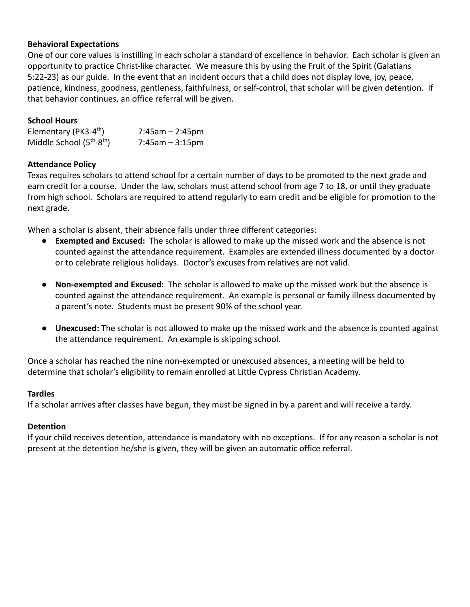# **Behavioral Expectations**

One of our core values is instilling in each scholar a standard of excellence in behavior. Each scholar is given an opportunity to practice Christ-like character. We measure this by using the Fruit of the Spirit (Galatians 5:22-23) as our guide. In the event that an incident occurs that a child does not display love, joy, peace, patience, kindness, goodness, gentleness, faithfulness, or self-control, that scholar will be given detention. If that behavior continues, an office referral will be given.

# **School Hours**

| Elementary (PK3-4 <sup>th</sup> ) | $7:45am - 2:45pm$     |
|-----------------------------------|-----------------------|
| Middle School $(5th-8th)$         | $7:45$ am – $3:15$ pm |

# **Attendance Policy**

Texas requires scholars to attend school for a certain number of days to be promoted to the next grade and earn credit for a course. Under the law, scholars must attend school from age 7 to 18, or until they graduate from high school. Scholars are required to attend regularly to earn credit and be eligible for promotion to the next grade.

When a scholar is absent, their absence falls under three different categories:

- **Exempted and Excused:** The scholar is allowed to make up the missed work and the absence is not counted against the attendance requirement. Examples are extended illness documented by a doctor or to celebrate religious holidays. Doctor's excuses from relatives are not valid.
- **Non-exempted and Excused:** The scholar is allowed to make up the missed work but the absence is counted against the attendance requirement. An example is personal or family illness documented by a parent's note. Students must be present 90% of the school year.
- **Unexcused:** The scholar is not allowed to make up the missed work and the absence is counted against the attendance requirement. An example is skipping school.

Once a scholar has reached the nine non-exempted or unexcused absences, a meeting will be held to determine that scholar's eligibility to remain enrolled at Little Cypress Christian Academy.

# **Tardies**

If a scholar arrives after classes have begun, they must be signed in by a parent and will receive a tardy.

# **Detention**

If your child receives detention, attendance is mandatory with no exceptions. If for any reason a scholar is not present at the detention he/she is given, they will be given an automatic office referral.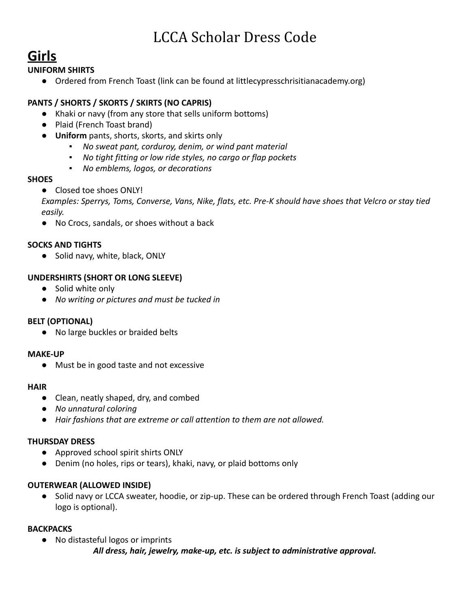# LCCA Scholar Dress Code

# **Girls**

# **UNIFORM SHIRTS**

**●** Ordered from French Toast (link can be found at littlecypresschrisitianacademy.org)

# **PANTS / SHORTS / SKORTS / SKIRTS (NO CAPRIS)**

- Khaki or navy (from any store that sells uniform bottoms)
- Plaid (French Toast brand)
- **Uniform** pants, shorts, skorts, and skirts only
	- *▪ No sweat pant, corduroy, denim, or wind pant material*
	- *▪ No tight fitting or low ride styles, no cargo or flap pockets*
	- *▪ No emblems, logos, or decorations*

# **SHOES**

**●** Closed toe shoes ONLY!

*Examples: Sperrys, Toms, Converse, Vans, Nike, flats, etc. Pre-K should have shoes that Velcro or stay tied easily.*

● No Crocs, sandals, or shoes without a back

# **SOCKS AND TIGHTS**

● Solid navy, white, black, ONLY

# **UNDERSHIRTS (SHORT OR LONG SLEEVE)**

- Solid white only
- *No writing or pictures and must be tucked in*

# **BELT (OPTIONAL)**

**●** No large buckles or braided belts

# **MAKE-UP**

● Must be in good taste and not excessive

# **HAIR**

- **●** Clean, neatly shaped, dry, and combed
- **●** *No unnatural coloring*
- **●** *Hair fashions that are extreme or call attention to them are not allowed.*

# **THURSDAY DRESS**

- **●** Approved school spirit shirts ONLY
- **●** Denim (no holes, rips or tears), khaki, navy, or plaid bottoms only

# **OUTERWEAR (ALLOWED INSIDE)**

● Solid navy or LCCA sweater, hoodie, or zip-up. These can be ordered through French Toast (adding our logo is optional).

# **BACKPACKS**

- **●** No distasteful logos or imprints
	- *All dress, hair, jewelry, make-up, etc. is subject to administrative approval.*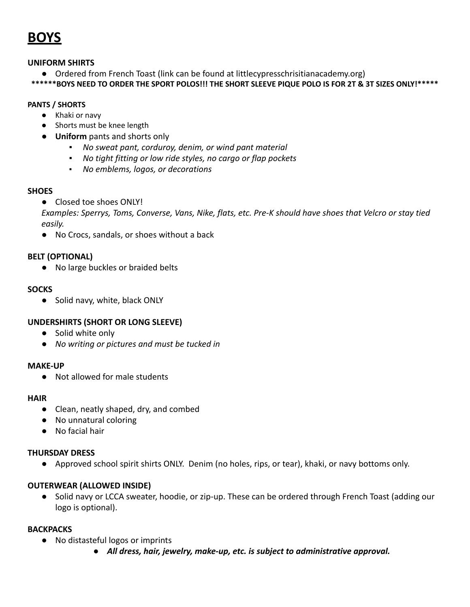**BOYS**

#### **UNIFORM SHIRTS**

**●** Ordered from French Toast (link can be found at littlecypresschrisitianacademy.org)

\*\*\*\*\*\*BOYS NEED TO ORDER THE SPORT POLOS!!! THE SHORT SLEEVE PIQUE POLO IS FOR 2T & 3T SIZES ONLY!\*\*\*\*\*

#### **PANTS / SHORTS**

- Khaki or navy
- Shorts must be knee length
- **Uniform** pants and shorts only
	- *▪ No sweat pant, corduroy, denim, or wind pant material*
	- *▪ No tight fitting or low ride styles, no cargo or flap pockets*
	- *No emblems, logos, or decorations*

#### **SHOES**

**●** Closed toe shoes ONLY!

*Examples: Sperrys, Toms, Converse, Vans, Nike, flats, etc. Pre-K should have shoes that Velcro or stay tied easily.*

● No Crocs, sandals, or shoes without a back

# **BELT (OPTIONAL)**

● No large buckles or braided belts

#### **SOCKS**

● Solid navy, white, black ONLY

# **UNDERSHIRTS (SHORT OR LONG SLEEVE)**

- **●** Solid white only
- *No writing or pictures and must be tucked in*

#### **MAKE-UP**

● Not allowed for male students

#### **HAIR**

- Clean, neatly shaped, dry, and combed
- No unnatural coloring
- No facial hair

#### **THURSDAY DRESS**

**●** Approved school spirit shirts ONLY. Denim (no holes, rips, or tear), khaki, or navy bottoms only.

#### **OUTERWEAR (ALLOWED INSIDE)**

● Solid navy or LCCA sweater, hoodie, or zip-up. These can be ordered through French Toast (adding our logo is optional).

# **BACKPACKS**

- **●** No distasteful logos or imprints
	- *● All dress, hair, jewelry, make-up, etc. is subject to administrative approval.*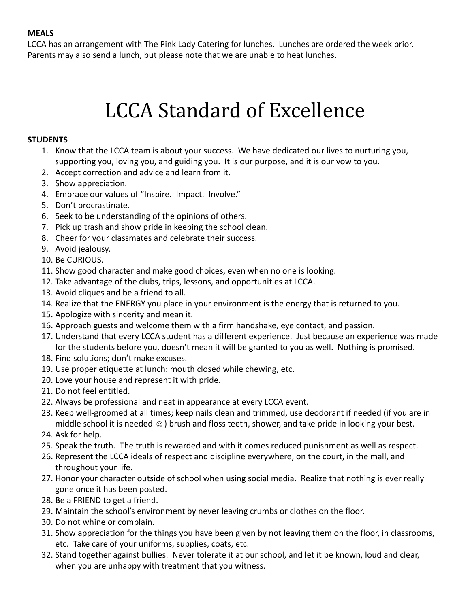# **MEALS**

LCCA has an arrangement with The Pink Lady Catering for lunches. Lunches are ordered the week prior. Parents may also send a lunch, but please note that we are unable to heat lunches.

# LCCA Standard of Excellence

# **STUDENTS**

- 1. Know that the LCCA team is about your success. We have dedicated our lives to nurturing you, supporting you, loving you, and guiding you. It is our purpose, and it is our vow to you.
- 2. Accept correction and advice and learn from it.
- 3. Show appreciation.
- 4. Embrace our values of "Inspire. Impact. Involve."
- 5. Don't procrastinate.
- 6. Seek to be understanding of the opinions of others.
- 7. Pick up trash and show pride in keeping the school clean.
- 8. Cheer for your classmates and celebrate their success.
- 9. Avoid jealousy.
- 10. Be CURIOUS.
- 11. Show good character and make good choices, even when no one is looking.
- 12. Take advantage of the clubs, trips, lessons, and opportunities at LCCA.
- 13. Avoid cliques and be a friend to all.
- 14. Realize that the ENERGY you place in your environment is the energy that is returned to you.
- 15. Apologize with sincerity and mean it.
- 16. Approach guests and welcome them with a firm handshake, eye contact, and passion.
- 17. Understand that every LCCA student has a different experience. Just because an experience was made for the students before you, doesn't mean it will be granted to you as well. Nothing is promised.
- 18. Find solutions; don't make excuses.
- 19. Use proper etiquette at lunch: mouth closed while chewing, etc.
- 20. Love your house and represent it with pride.
- 21. Do not feel entitled.
- 22. Always be professional and neat in appearance at every LCCA event.
- 23. Keep well-groomed at all times; keep nails clean and trimmed, use deodorant if needed (if you are in middle school it is needed  $\odot$ ) brush and floss teeth, shower, and take pride in looking your best.
- 24. Ask for help.
- 25. Speak the truth. The truth is rewarded and with it comes reduced punishment as well as respect.
- 26. Represent the LCCA ideals of respect and discipline everywhere, on the court, in the mall, and throughout your life.
- 27. Honor your character outside of school when using social media. Realize that nothing is ever really gone once it has been posted.
- 28. Be a FRIEND to get a friend.
- 29. Maintain the school's environment by never leaving crumbs or clothes on the floor.
- 30. Do not whine or complain.
- 31. Show appreciation for the things you have been given by not leaving them on the floor, in classrooms, etc. Take care of your uniforms, supplies, coats, etc.
- 32. Stand together against bullies. Never tolerate it at our school, and let it be known, loud and clear, when you are unhappy with treatment that you witness.